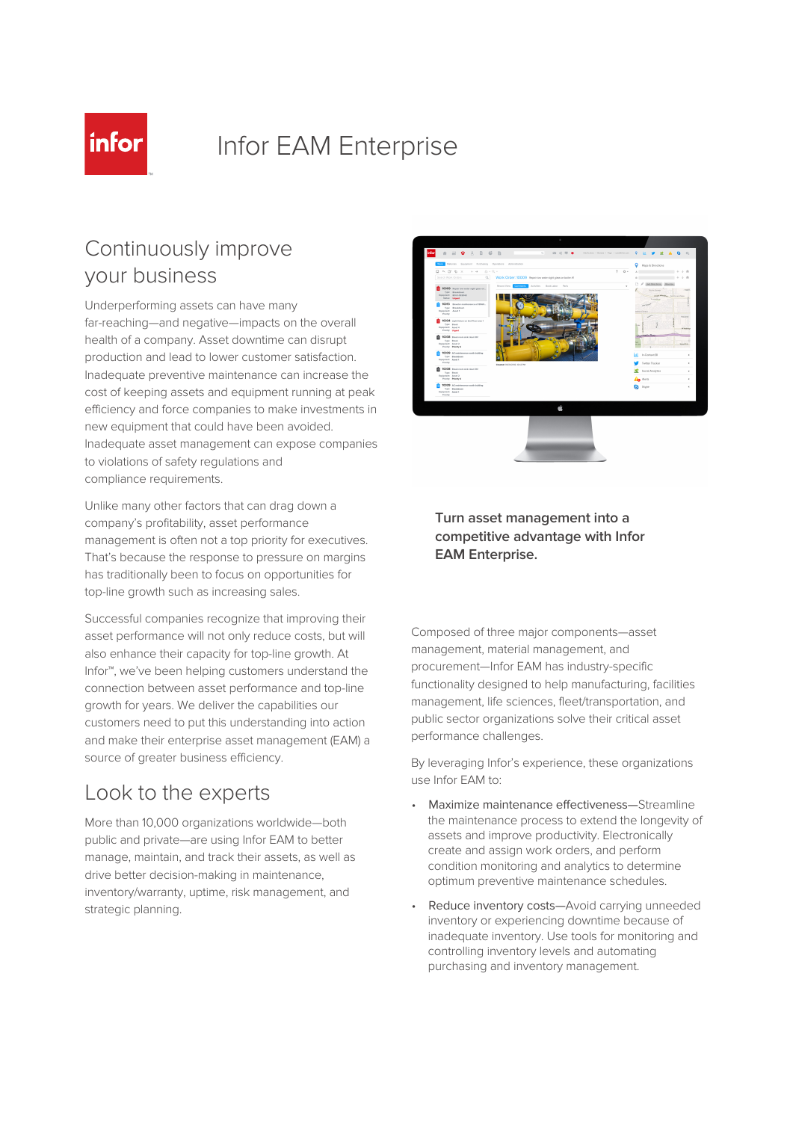

# Infor EAM Enterprise

### Continuously improve your business

Underperforming assets can have many far-reaching—and negative—impacts on the overall health of a company. Asset downtime can disrupt production and lead to lower customer satisfaction. Inadequate preventive maintenance can increase the cost of keeping assets and equipment running at peak efficiency and force companies to make investments in new equipment that could have been avoided. Inadequate asset management can expose companies to violations of safety regulations and compliance requirements.

Unlike many other factors that can drag down a company's profitability, asset performance management is often not a top priority for executives. That's because the response to pressure on margins has traditionally been to focus on opportunities for top-line growth such as increasing sales.

Successful companies recognize that improving their asset performance will not only reduce costs, but will also enhance their capacity for top-line growth. At Infor™, we've been helping customers understand the connection between asset performance and top-line growth for years. We deliver the capabilities our customers need to put this understanding into action and make their enterprise asset management (EAM) a source of greater business efficiency.

# Look to the experts

More than 10,000 organizations worldwide—both public and private—are using Infor EAM to better manage, maintain, and track their assets, as well as drive better decision-making in maintenance, inventory/warranty, uptime, risk management, and strategic planning.



### **Turn asset management into a competitive advantage with Infor EAM Enterprise.**

Composed of three major components—asset management, material management, and procurement—Infor EAM has industry-specific functionality designed to help manufacturing, facilities management, life sciences, fleet/transportation, and public sector organizations solve their critical asset performance challenges.

By leveraging Infor's experience, these organizations use Infor EAM to:

- Maximize maintenance effectiveness—Streamline the maintenance process to extend the longevity of assets and improve productivity. Electronically create and assign work orders, and perform condition monitoring and analytics to determine optimum preventive maintenance schedules.
- Reduce inventory costs-Avoid carrying unneeded inventory or experiencing downtime because of inadequate inventory. Use tools for monitoring and controlling inventory levels and automating purchasing and inventory management.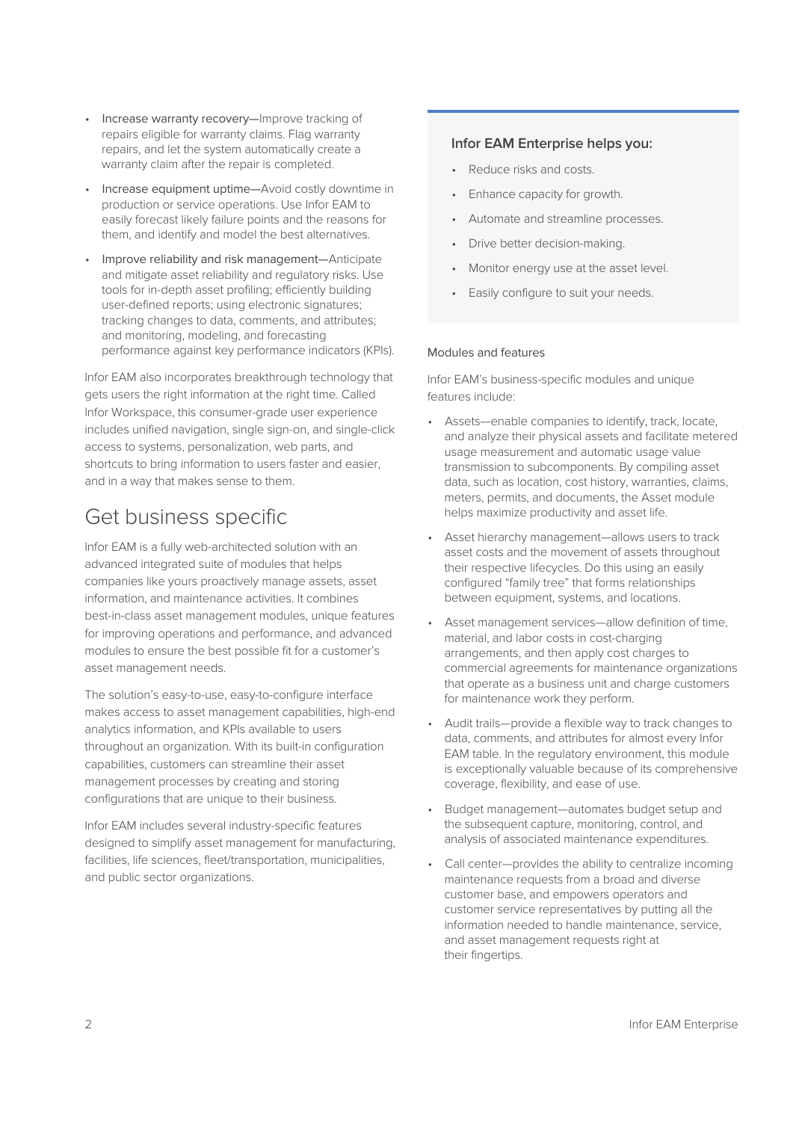- Increase warranty recovery—Improve tracking of repairs eligible for warranty claims. Flag warranty repairs, and let the system automatically create a warranty claim after the repair is completed.
- Increase equipment uptime—Avoid costly downtime in production or service operations. Use Infor EAM to easily forecast likely failure points and the reasons for them, and identify and model the best alternatives.
- Improve reliability and risk management-Anticipate and mitigate asset reliability and regulatory risks. Use tools for in-depth asset profiling; efficiently building user-defined reports; using electronic signatures; tracking changes to data, comments, and attributes; and monitoring, modeling, and forecasting performance against key performance indicators (KPIs).

Infor EAM also incorporates breakthrough technology that gets users the right information at the right time. Called Infor Workspace, this consumer-grade user experience includes unified navigation, single sign-on, and single-click access to systems, personalization, web parts, and shortcuts to bring information to users faster and easier, and in a way that makes sense to them.

# Get business specific

Infor EAM is a fully web-architected solution with an advanced integrated suite of modules that helps companies like yours proactively manage assets, asset information, and maintenance activities. It combines best-in-class asset management modules, unique features for improving operations and performance, and advanced modules to ensure the best possible fit for a customer's asset management needs.

The solution's easy-to-use, easy-to-configure interface makes access to asset management capabilities, high-end analytics information, and KPIs available to users throughout an organization. With its built-in configuration capabilities, customers can streamline their asset management processes by creating and storing configurations that are unique to their business.

Infor EAM includes several industry-specific features designed to simplify asset management for manufacturing, facilities, life sciences, fleet/transportation, municipalities, and public sector organizations.

### **Infor EAM Enterprise helps you:**

- Reduce risks and costs.
- Enhance capacity for growth.
- Automate and streamline processes.
- Drive better decision-making.
- Monitor energy use at the asset level.
- Easily configure to suit your needs.

#### Modules and features

Infor EAM's business-specific modules and unique features include:

- Assets—enable companies to identify, track, locate, and analyze their physical assets and facilitate metered usage measurement and automatic usage value transmission to subcomponents. By compiling asset data, such as location, cost history, warranties, claims, meters, permits, and documents, the Asset module helps maximize productivity and asset life.
- Asset hierarchy management—allows users to track asset costs and the movement of assets throughout their respective lifecycles. Do this using an easily configured "family tree" that forms relationships between equipment, systems, and locations.
- Asset management services—allow definition of time, material, and labor costs in cost-charging arrangements, and then apply cost charges to commercial agreements for maintenance organizations that operate as a business unit and charge customers for maintenance work they perform.
- Audit trails—provide a flexible way to track changes to data, comments, and attributes for almost every Infor EAM table. In the regulatory environment, this module is exceptionally valuable because of its comprehensive coverage, flexibility, and ease of use.
- Budget management—automates budget setup and the subsequent capture, monitoring, control, and analysis of associated maintenance expenditures.
- Call center—provides the ability to centralize incoming maintenance requests from a broad and diverse customer base, and empowers operators and customer service representatives by putting all the information needed to handle maintenance, service, and asset management requests right at their fingertips.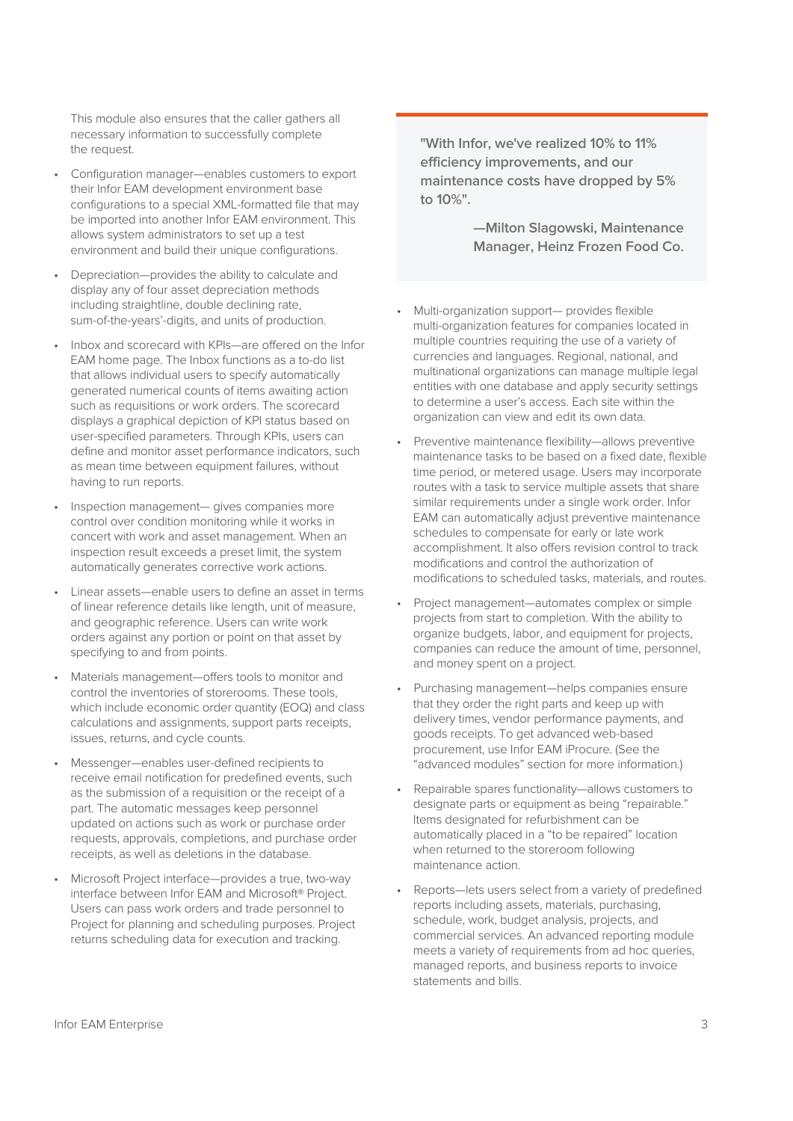This module also ensures that the caller gathers all necessary information to successfully complete the request.

- Configuration manager—enables customers to export their Infor EAM development environment base configurations to a special XML-formatted file that may be imported into another Infor EAM environment. This allows system administrators to set up a test environment and build their unique configurations.
- Depreciation—provides the ability to calculate and display any of four asset depreciation methods including straightline, double declining rate, sum-of-the-years'-digits, and units of production.
- Inbox and scorecard with KPIs—are offered on the Infor EAM home page. The Inbox functions as a to-do list that allows individual users to specify automatically generated numerical counts of items awaiting action such as requisitions or work orders. The scorecard displays a graphical depiction of KPI status based on user-specified parameters. Through KPIs, users can define and monitor asset performance indicators, such as mean time between equipment failures, without having to run reports.
- Inspection management— gives companies more control over condition monitoring while it works in concert with work and asset management. When an inspection result exceeds a preset limit, the system automatically generates corrective work actions.
- Linear assets—enable users to define an asset in terms of linear reference details like length, unit of measure, and geographic reference. Users can write work orders against any portion or point on that asset by specifying to and from points.
- Materials management—offers tools to monitor and control the inventories of storerooms. These tools, which include economic order quantity (EOQ) and class calculations and assignments, support parts receipts, issues, returns, and cycle counts.
- Messenger—enables user-defined recipients to receive email notification for predefined events, such as the submission of a requisition or the receipt of a part. The automatic messages keep personnel updated on actions such as work or purchase order requests, approvals, completions, and purchase order receipts, as well as deletions in the database.
- Microsoft Project interface—provides a true, two-way interface between Infor EAM and Microsoft® Project. Users can pass work orders and trade personnel to Project for planning and scheduling purposes. Project returns scheduling data for execution and tracking.

**"With Infor, we've realized 10% to 11% efficiency improvements, and our maintenance costs have dropped by 5% to 10%".**

> **—Milton Slagowski, Maintenance Manager, Heinz Frozen Food Co.**

- Multi-organization support— provides flexible multi-organization features for companies located in multiple countries requiring the use of a variety of currencies and languages. Regional, national, and multinational organizations can manage multiple legal entities with one database and apply security settings to determine a user's access. Each site within the organization can view and edit its own data.
- Preventive maintenance flexibility—allows preventive maintenance tasks to be based on a fixed date, flexible time period, or metered usage. Users may incorporate routes with a task to service multiple assets that share similar requirements under a single work order. Infor EAM can automatically adjust preventive maintenance schedules to compensate for early or late work accomplishment. It also offers revision control to track modifications and control the authorization of modifications to scheduled tasks, materials, and routes.
- Project management—automates complex or simple projects from start to completion. With the ability to organize budgets, labor, and equipment for projects, companies can reduce the amount of time, personnel, and money spent on a project.
- Purchasing management—helps companies ensure that they order the right parts and keep up with delivery times, vendor performance payments, and goods receipts. To get advanced web-based procurement, use Infor EAM iProcure. (See the "advanced modules" section for more information.)
- Repairable spares functionality—allows customers to designate parts or equipment as being "repairable." Items designated for refurbishment can be automatically placed in a "to be repaired" location when returned to the storeroom following maintenance action.
- Reports-lets users select from a variety of predefined reports including assets, materials, purchasing, schedule, work, budget analysis, projects, and commercial services. An advanced reporting module meets a variety of requirements from ad hoc queries, managed reports, and business reports to invoice statements and bills.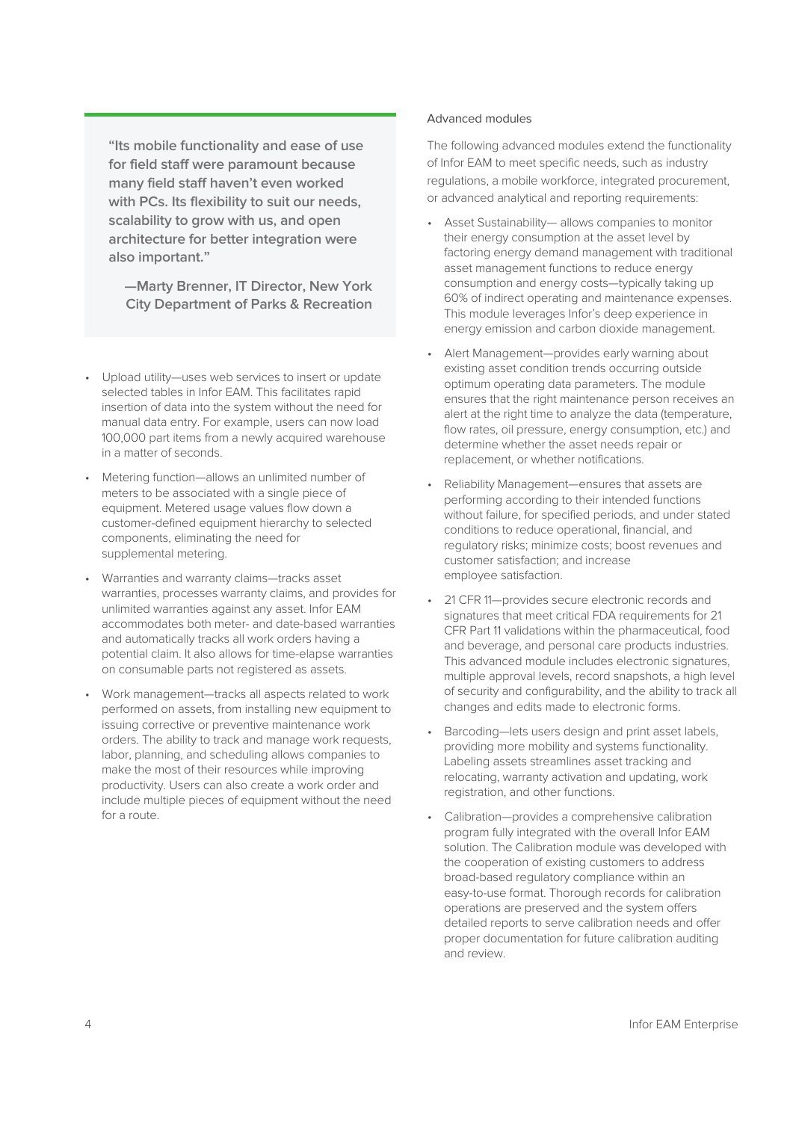**"Its mobile functionality and ease of use for field staff were paramount because many field staff haven't even worked with PCs. Its flexibility to suit our needs, scalability to grow with us, and open architecture for better integration were also important."**

**—Marty Brenner, IT Director, New York City Department of Parks & Recreation**

- Upload utility—uses web services to insert or update selected tables in Infor EAM. This facilitates rapid insertion of data into the system without the need for manual data entry. For example, users can now load 100,000 part items from a newly acquired warehouse in a matter of seconds.
- Metering function—allows an unlimited number of meters to be associated with a single piece of equipment. Metered usage values flow down a customer-defined equipment hierarchy to selected components, eliminating the need for supplemental metering.
- Warranties and warranty claims—tracks asset warranties, processes warranty claims, and provides for unlimited warranties against any asset. Infor EAM accommodates both meter- and date-based warranties and automatically tracks all work orders having a potential claim. It also allows for time-elapse warranties on consumable parts not registered as assets.
- Work management—tracks all aspects related to work performed on assets, from installing new equipment to issuing corrective or preventive maintenance work orders. The ability to track and manage work requests, labor, planning, and scheduling allows companies to make the most of their resources while improving productivity. Users can also create a work order and include multiple pieces of equipment without the need for a route.

#### Advanced modules

The following advanced modules extend the functionality of Infor EAM to meet specific needs, such as industry regulations, a mobile workforce, integrated procurement, or advanced analytical and reporting requirements:

- Asset Sustainability— allows companies to monitor their energy consumption at the asset level by factoring energy demand management with traditional asset management functions to reduce energy consumption and energy costs—typically taking up 60% of indirect operating and maintenance expenses. This module leverages Infor's deep experience in energy emission and carbon dioxide management.
- Alert Management—provides early warning about existing asset condition trends occurring outside optimum operating data parameters. The module ensures that the right maintenance person receives an alert at the right time to analyze the data (temperature, flow rates, oil pressure, energy consumption, etc.) and determine whether the asset needs repair or replacement, or whether notifications.
- Reliability Management—ensures that assets are performing according to their intended functions without failure, for specified periods, and under stated conditions to reduce operational, financial, and regulatory risks; minimize costs; boost revenues and customer satisfaction; and increase employee satisfaction.
- 21 CFR 11—provides secure electronic records and signatures that meet critical FDA requirements for 21 CFR Part 11 validations within the pharmaceutical, food and beverage, and personal care products industries. This advanced module includes electronic signatures, multiple approval levels, record snapshots, a high level of security and configurability, and the ability to track all changes and edits made to electronic forms.
- Barcoding—lets users design and print asset labels, providing more mobility and systems functionality. Labeling assets streamlines asset tracking and relocating, warranty activation and updating, work registration, and other functions.
- Calibration—provides a comprehensive calibration program fully integrated with the overall Infor EAM solution. The Calibration module was developed with the cooperation of existing customers to address broad-based regulatory compliance within an easy-to-use format. Thorough records for calibration operations are preserved and the system offers detailed reports to serve calibration needs and offer proper documentation for future calibration auditing and review.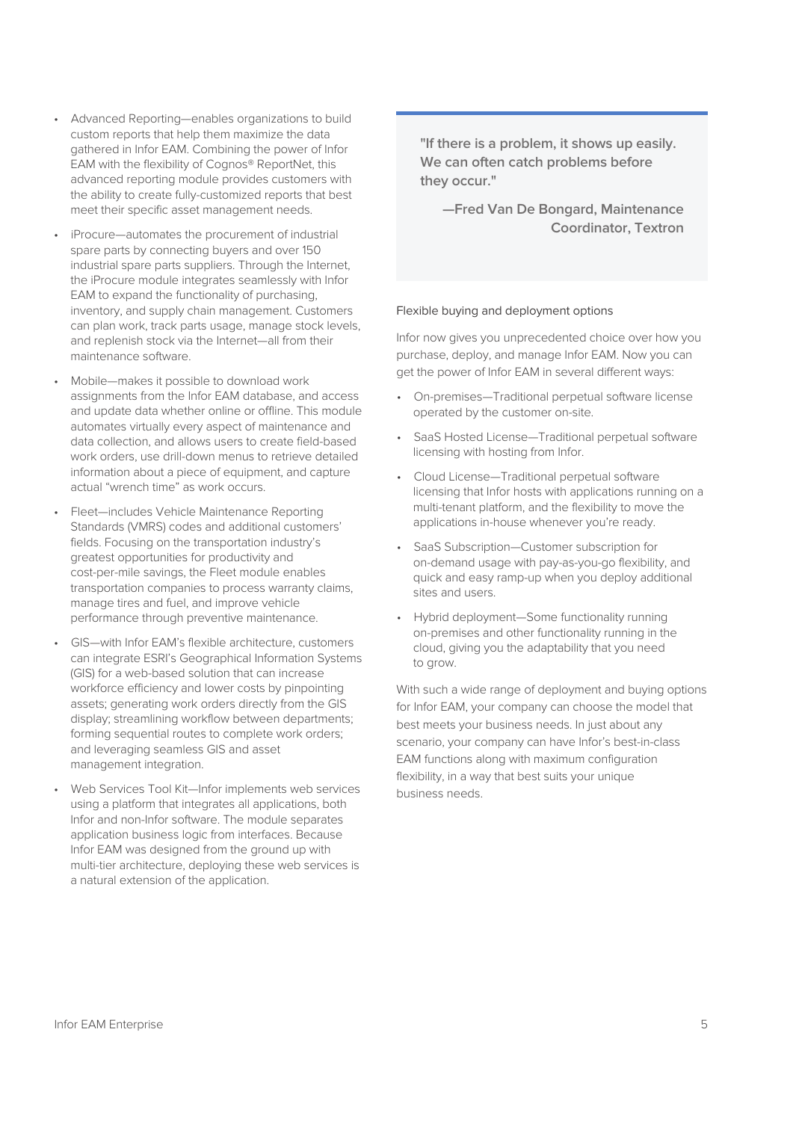- Advanced Reporting—enables organizations to build custom reports that help them maximize the data gathered in Infor EAM. Combining the power of Infor EAM with the flexibility of Cognos® ReportNet, this advanced reporting module provides customers with the ability to create fully-customized reports that best meet their specific asset management needs.
- iProcure—automates the procurement of industrial spare parts by connecting buyers and over 150 industrial spare parts suppliers. Through the Internet, the iProcure module integrates seamlessly with Infor EAM to expand the functionality of purchasing, inventory, and supply chain management. Customers can plan work, track parts usage, manage stock levels, and replenish stock via the Internet—all from their maintenance software.
- Mobile—makes it possible to download work assignments from the Infor EAM database, and access and update data whether online or offline. This module automates virtually every aspect of maintenance and data collection, and allows users to create field-based work orders, use drill-down menus to retrieve detailed information about a piece of equipment, and capture actual "wrench time" as work occurs.
- Fleet—includes Vehicle Maintenance Reporting Standards (VMRS) codes and additional customers' fields. Focusing on the transportation industry's greatest opportunities for productivity and cost-per-mile savings, the Fleet module enables transportation companies to process warranty claims, manage tires and fuel, and improve vehicle performance through preventive maintenance.
- GIS—with Infor EAM's flexible architecture, customers can integrate ESRI's Geographical Information Systems (GIS) for a web-based solution that can increase workforce efficiency and lower costs by pinpointing assets; generating work orders directly from the GIS display; streamlining workflow between departments; forming sequential routes to complete work orders; and leveraging seamless GIS and asset management integration.
- Web Services Tool Kit-Infor implements web services using a platform that integrates all applications, both Infor and non-Infor software. The module separates application business logic from interfaces. Because Infor EAM was designed from the ground up with multi-tier architecture, deploying these web services is a natural extension of the application.

**"If there is a problem, it shows up easily. We can often catch problems before they occur."**

**—Fred Van De Bongard, Maintenance Coordinator, Textron**

#### Flexible buying and deployment options

Infor now gives you unprecedented choice over how you purchase, deploy, and manage Infor EAM. Now you can get the power of Infor EAM in several different ways:

- On-premises—Traditional perpetual software license operated by the customer on-site.
- SaaS Hosted License—Traditional perpetual software licensing with hosting from Infor.
- Cloud License—Traditional perpetual software licensing that Infor hosts with applications running on a multi-tenant platform, and the flexibility to move the applications in-house whenever you're ready.
- SaaS Subscription—Customer subscription for on-demand usage with pay-as-you-go flexibility, and quick and easy ramp-up when you deploy additional sites and users.
- Hybrid deployment—Some functionality running on-premises and other functionality running in the cloud, giving you the adaptability that you need to grow.

With such a wide range of deployment and buying options for Infor EAM, your company can choose the model that best meets your business needs. In just about any scenario, your company can have Infor's best-in-class EAM functions along with maximum configuration flexibility, in a way that best suits your unique business needs.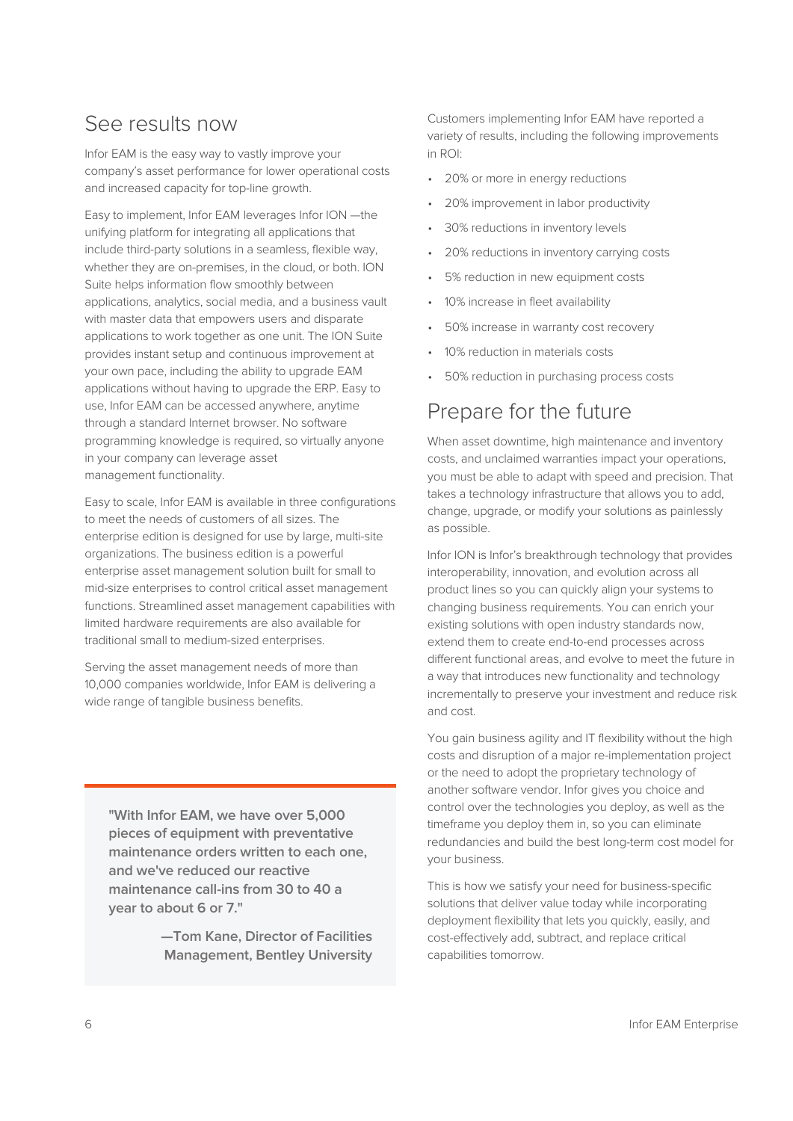### See results now

Infor EAM is the easy way to vastly improve your company's asset performance for lower operational costs and increased capacity for top-line growth.

Easy to implement, Infor EAM leverages Infor ION —the unifying platform for integrating all applications that include third-party solutions in a seamless, flexible way, whether they are on-premises, in the cloud, or both. ION Suite helps information flow smoothly between applications, analytics, social media, and a business vault with master data that empowers users and disparate applications to work together as one unit. The ION Suite provides instant setup and continuous improvement at your own pace, including the ability to upgrade EAM applications without having to upgrade the ERP. Easy to use, Infor EAM can be accessed anywhere, anytime through a standard Internet browser. No software programming knowledge is required, so virtually anyone in your company can leverage asset management functionality.

Easy to scale, Infor EAM is available in three configurations to meet the needs of customers of all sizes. The enterprise edition is designed for use by large, multi-site organizations. The business edition is a powerful enterprise asset management solution built for small to mid-size enterprises to control critical asset management functions. Streamlined asset management capabilities with limited hardware requirements are also available for traditional small to medium-sized enterprises.

Serving the asset management needs of more than 10,000 companies worldwide, Infor EAM is delivering a wide range of tangible business benefits.

**"With Infor EAM, we have over 5,000 pieces of equipment with preventative maintenance orders written to each one, and we've reduced our reactive maintenance call-ins from 30 to 40 a year to about 6 or 7."**

> **—Tom Kane, Director of Facilities Management, Bentley University**

Customers implementing Infor EAM have reported a variety of results, including the following improvements in ROI:

- 20% or more in energy reductions
- 20% improvement in labor productivity
- 30% reductions in inventory levels
- 20% reductions in inventory carrying costs
- 5% reduction in new equipment costs
- 10% increase in fleet availability
- 50% increase in warranty cost recovery
- 10% reduction in materials costs
- 50% reduction in purchasing process costs

# Prepare for the future

When asset downtime, high maintenance and inventory costs, and unclaimed warranties impact your operations, you must be able to adapt with speed and precision. That takes a technology infrastructure that allows you to add, change, upgrade, or modify your solutions as painlessly as possible.

Infor ION is Infor's breakthrough technology that provides interoperability, innovation, and evolution across all product lines so you can quickly align your systems to changing business requirements. You can enrich your existing solutions with open industry standards now, extend them to create end-to-end processes across different functional areas, and evolve to meet the future in a way that introduces new functionality and technology incrementally to preserve your investment and reduce risk and cost.

You gain business agility and IT flexibility without the high costs and disruption of a major re-implementation project or the need to adopt the proprietary technology of another software vendor. Infor gives you choice and control over the technologies you deploy, as well as the timeframe you deploy them in, so you can eliminate redundancies and build the best long-term cost model for your business.

This is how we satisfy your need for business-specific solutions that deliver value today while incorporating deployment flexibility that lets you quickly, easily, and cost-effectively add, subtract, and replace critical capabilities tomorrow.